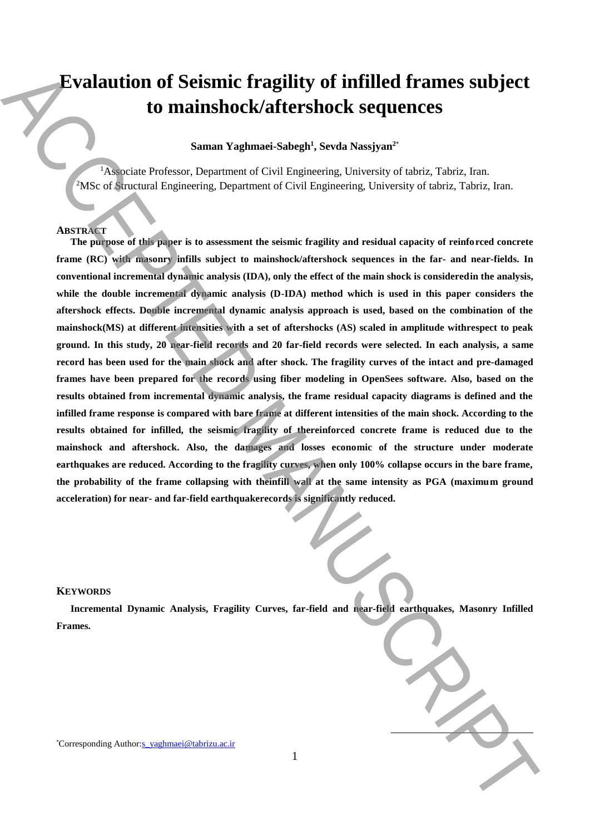# **Evalaution of Seismic fragility of infilled frames subject to mainshock/aftershock sequences**

# **Saman Yaghmaei-Sabegh<sup>1</sup> , Sevda Nassjyan<sup>2</sup>**\*

<sup>1</sup>Associate Professor, Department of Civil Engineering, University of tabriz, Tabriz, Iran. <sup>2</sup>MSc of Structural Engineering, Department of Civil Engineering, University of tabriz, Tabriz, Iran.

## **ABSTRACT**

**The purpose of this paper is to assessment the seismic fragility and residual capacity of reinforced concrete frame (RC) with masonry infills subject to mainshock/aftershock sequences in the far- and near-fields. In conventional incremental dynamic analysis (IDA), only the effect of the main shock is consideredin the analysis, while the double incremental dynamic analysis (D-IDA) method which is used in this paper considers the aftershock effects. Double incremental dynamic analysis approach is used, based on the combination of the mainshock(MS) at different intensities with a set of aftershocks (AS) scaled in amplitude withrespect to peak ground. In this study, 20 near-field records and 20 far-field records were selected. In each analysis, a same record has been used for the main shock and after shock. The fragility curves of the intact and pre-damaged frames have been prepared for the records using fiber modeling in OpenSees software. Also, based on the results obtained from incremental dynamic analysis, the frame residual capacity diagrams is defined and the infilled frame response is compared with bare frame at different intensities of the main shock. According to the results obtained for infilled, the seismic fragility of thereinforced concrete frame is reduced due to the mainshock and aftershock. Also, the damages and losses economic of the structure under moderate earthquakes are reduced. According to the fragility curves, when only 100% collapse occurs in the bare frame, the probability of the frame collapsing with theinfill wall at the same intensity as PGA (maximum ground acceleration) for near- and far-field earthquakerecords is significantly reduced. Excludion of Seismic fraggility of infilled frames subject<br>to mainshock/aftershock sequences<br>samm**  $Y_{\text{in}}$ **hmanic Sabegiv, Serah Nassigns"<br>Sammen Correlation Correlation (and the same correlation of the interaction of th** 

### **KEYWORDS**

**Incremental Dynamic Analysis, Fragility Curves, far-field and near-field earthquakes, Masonry Infilled Frames.**

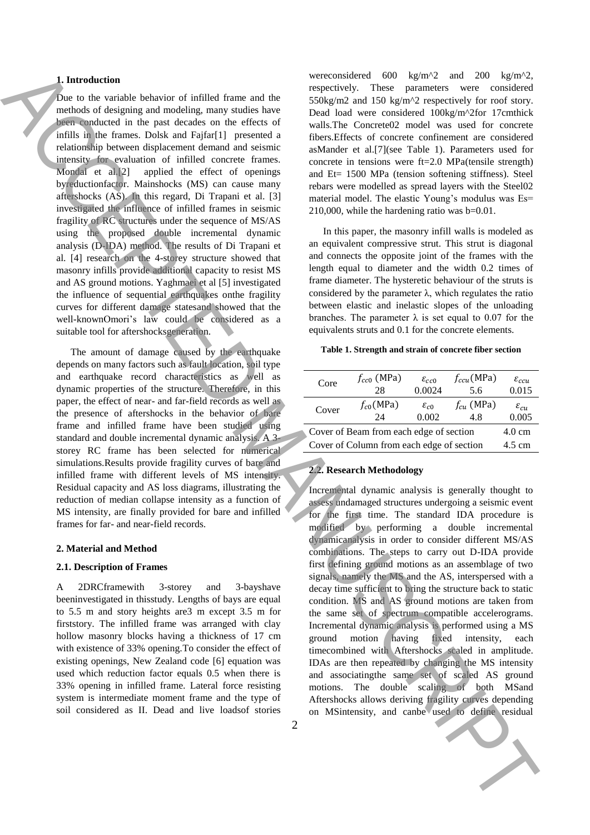## **1. Introduction**

Due to the variable behavior of infilled frame and the methods of designing and modeling, many studies have been conducted in the past decades on the effects of infills in the frames. Dolsk and Fajfar[1] presented a relationship between displacement demand and seismic intensity for evaluation of infilled concrete frames. Mondal et al.[2] applied the effect of openings byreductionfactor. Mainshocks (MS) can cause many aftershocks (AS). In this regard, Di Trapani et al. [3] investigated the influence of infilled frames in seismic fragility of RC structures under the sequence of MS/AS using the proposed double incremental dynamic analysis (D-IDA) method. The results of Di Trapani et al. [4] research on the 4-storey structure showed that masonry infills provide additional capacity to resist MS and AS ground motions. Yaghmaei et al [5] investigated the influence of sequential earthquakes onthe fragility curves for different damage statesand showed that the well-knownOmori's law could be considered as a suitable tool for aftershocksgeneration. Let the space of the space of the space of the space of the space of the space of the space of the space of the space of the space of the space of the space of the space of the space of the space of the space of the space

The amount of damage caused by the earthquake depends on many factors such as fault location, soil type and earthquake record characteristics as well as dynamic properties of the structure. Therefore, in this paper, the effect of near- and far-field records as well as the presence of aftershocks in the behavior of bare frame and infilled frame have been studied using standard and double incremental dynamic analysis. A 3 storey RC frame has been selected for numerical simulations.Results provide fragility curves of bare and infilled frame with different levels of MS intensity. Residual capacity and AS loss diagrams, illustrating the reduction of median collapse intensity as a function of MS intensity, are finally provided for bare and infilled frames for far- and near-field records.

## **2. Material and Method**

#### **2.1. Description of Frames**

A 2DRCframewith 3-storey and 3-bayshave beeninvestigated in thisstudy. Lengths of bays are equal to 5.5 m and story heights are3 m except 3.5 m for firststory. The infilled frame was arranged with clay hollow masonry blocks having a thickness of 17 cm with existence of 33% opening.To consider the effect of existing openings, New Zealand code [6] equation was used which reduction factor equals 0.5 when there is 33% opening in infilled frame. Lateral force resisting system is intermediate moment frame and the type of soil considered as II. Dead and live loadsof stories

wereconsidered 600 kg/m<sup>2</sup> and 200 kg/m<sup>2</sup>2, respectively. These parameters were considered 550kg/m2 and 150 kg/m^2 respectively for roof story. Dead load were considered 100kg/m^2for 17cmthick walls.The Concrete02 model was used for concrete fibers.Effects of concrete confinement are considered asMander et al.[7](see Table 1). Parameters used for concrete in tensions were ft=2.0 MPa(tensile strength) and Et= 1500 MPa (tension softening stiffness). Steel rebars were modelled as spread layers with the Steel02 material model. The elastic Young's modulus was Es= 210,000, while the hardening ratio was b=0.01.

In this paper, the masonry infill walls is modeled as an equivalent compressive strut. This strut is diagonal and connects the opposite joint of the frames with the length equal to diameter and the width 0.2 times of frame diameter. The hysteretic behaviour of the struts is considered by the parameter  $\lambda$ , which regulates the ratio between elastic and inelastic slopes of the unloading branches. The parameter  $\lambda$  is set equal to 0.07 for the equivalents struts and 0.1 for the concrete elements.

#### **Table 1. Strength and strain of concrete fiber section**

| Core                                      | $f_{cc0}$ (MPa)<br>28 | $\varepsilon_{cc0}$<br>0.0024 | $f_{ccu}$ (MPa)<br>5.6 | $\varepsilon_{ccu}$<br>0.015 |
|-------------------------------------------|-----------------------|-------------------------------|------------------------|------------------------------|
| Cover                                     | $f_{c0}$ (MPa)<br>24  | $\varepsilon_{c0}$<br>0.002   | $f_{cu}$ (MPa)<br>4.8  | $\varepsilon_{cu}$<br>0.005  |
| Cover of Beam from each edge of section   |                       |                               |                        | $4.0 \text{ cm}$             |
| Cover of Column from each edge of section |                       |                               |                        | 4.5 cm                       |

## **2.2. Research Methodology**

Incremental dynamic analysis is generally thought to assess undamaged structures undergoing a seismic event for the first time. The standard IDA procedure is modified by performing a double incremental dynamicanalysis in order to consider different MS/AS combinations. The steps to carry out D-IDA provide first defining ground motions as an assemblage of two signals, namely the MS and the AS, interspersed with a decay time sufficient to bring the structure back to static condition. MS and AS ground motions are taken from the same set of spectrum compatible accelerograms. Incremental dynamic analysis is performed using a MS ground motion having fixed intensity, each timecombined with Aftershocks scaled in amplitude. IDAs are then repeated by changing the MS intensity and associatingthe same set of scaled AS ground motions. The double scaling of both MSand Aftershocks allows deriving fragility curves depending on MSintensity, and canbe used to define residual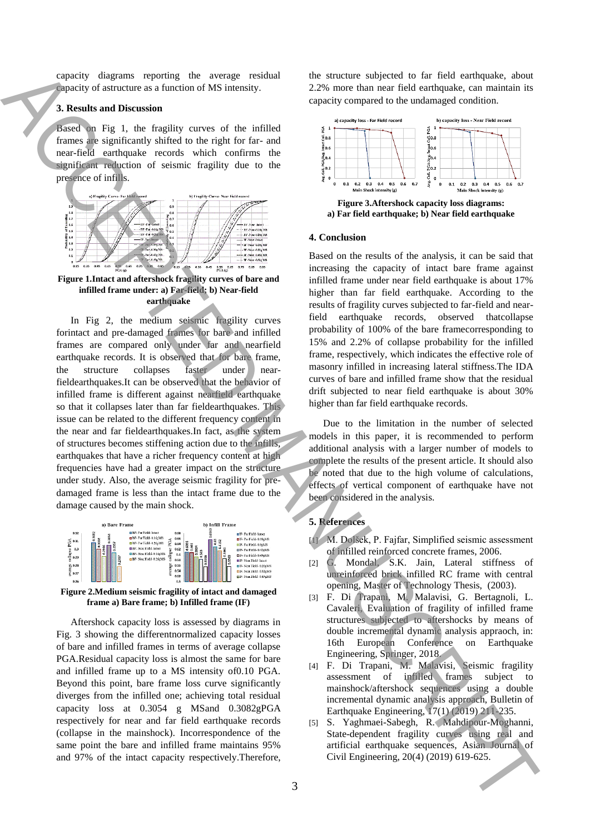capacity diagrams reporting the average residual capacity of astructure as a function of MS intensity.

## **3. Results and Discussion**

Based on Fig 1, the fragility curves of the infilled frames are significantly shifted to the right for far- and near-field earthquake records which confirms the significant reduction of seismic fragility due to the presence of infills.



**Figure 1.Intact and aftershock fragility curves of bare and infilled frame under: a) Far-field; b) Near-field earthquake**

In Fig 2, the medium seismic fragility curves forintact and pre-damaged frames for bare and infilled frames are compared only under far and nearfield earthquake records. It is observed that for bare frame, the structure collapses faster under nearfieldearthquakes.It can be observed that the behavior of infilled frame is different against nearfield earthquake so that it collapses later than far fieldearthquakes. This issue can be related to the different frequency content in the near and far fieldearthquakes.In fact, as the system of structures becomes stiffening action due to the infills, earthquakes that have a richer frequency content at high frequencies have had a greater impact on the structure under study. Also, the average seismic fragility for predamaged frame is less than the intact frame due to the damage caused by the main shock. CONSERVE THE CIVIL THE CIVIL THE CIVIL THE CIVIL THE CIVIL THE CIVIL THE CIVIL THE CIVIL THE CIVIL THE CIVIL THE CIVIL THE CIVIL THE CIVIL THE CIVIL THE CIVIL THE CIVIL THE CIVIL THE CIVIL THE CIVIL THE CIVIL THE CIVIL TH



**Figure 2.Medium seismic fragility of intact and damaged frame a) Bare frame; b) Infilled frame (IF)**

Aftershock capacity loss is assessed by diagrams in Fig. 3 showing the differentnormalized capacity losses of bare and infilled frames in terms of average collapse PGA.Residual capacity loss is almost the same for bare and infilled frame up to a MS intensity of0.10 PGA. Beyond this point, bare frame loss curve significantly diverges from the infilled one; achieving total residual capacity loss at 0.3054 g MSand 0.3082gPGA respectively for near and far field earthquake records (collapse in the mainshock). Incorrespondence of the same point the bare and infilled frame maintains 95% and 97% of the intact capacity respectively.Therefore, the structure subjected to far field earthquake, about 2.2% more than near field earthquake, can maintain its capacity compared to the undamaged condition.



**Figure 3.Aftershock capacity loss diagrams: a) Far field earthquake; b) Near field earthquake**

## **4. Conclusion**

Based on the results of the analysis, it can be said that increasing the capacity of intact bare frame against infilled frame under near field earthquake is about 17% higher than far field earthquake. According to the results of fragility curves subjected to far-field and nearfield earthquake records, observed thatcollapse probability of 100% of the bare framecorresponding to 15% and 2.2% of collapse probability for the infilled frame, respectively, which indicates the effective role of masonry infilled in increasing lateral stiffness.The IDA curves of bare and infilled frame show that the residual drift subjected to near field earthquake is about 30% higher than far field earthquake records.

Due to the limitation in the number of selected models in this paper, it is recommended to perform additional analysis with a larger number of models to complete the results of the present article. It should also be noted that due to the high volume of calculations, effects of vertical component of earthquake have not been considered in the analysis.

# **5. References**

- [1] M. Dolšek, P. Fajfar, Simplified seismic assessment of infilled reinforced concrete frames, 2006.
- [2] G. Mondal, S.K. Jain, Lateral stiffness of unreinforced brick infilled RC frame with central opening, Master of Technology Thesis, (2003).
- [3] F. Di Trapani, M. Malavisi, G. Bertagnoli, L. Cavaleri, Evaluation of fragility of infilled frame structures subjected to aftershocks by means of double incremental dynamic analysis appraoch, in: 16th European Conference on Earthquake Engineering, Springer, 2018.
- [4] F. Di Trapani, M. Malavisi, Seismic fragility assessment of infilled frames subject to mainshock/aftershock sequences using a double incremental dynamic analysis approach, Bulletin of Earthquake Engineering, 17(1) (2019) 211-235.
- [5] S. Yaghmaei-Sabegh, R. Mahdipour-Moghanni, State-dependent fragility curves using real and artificial earthquake sequences, Asian Journal of